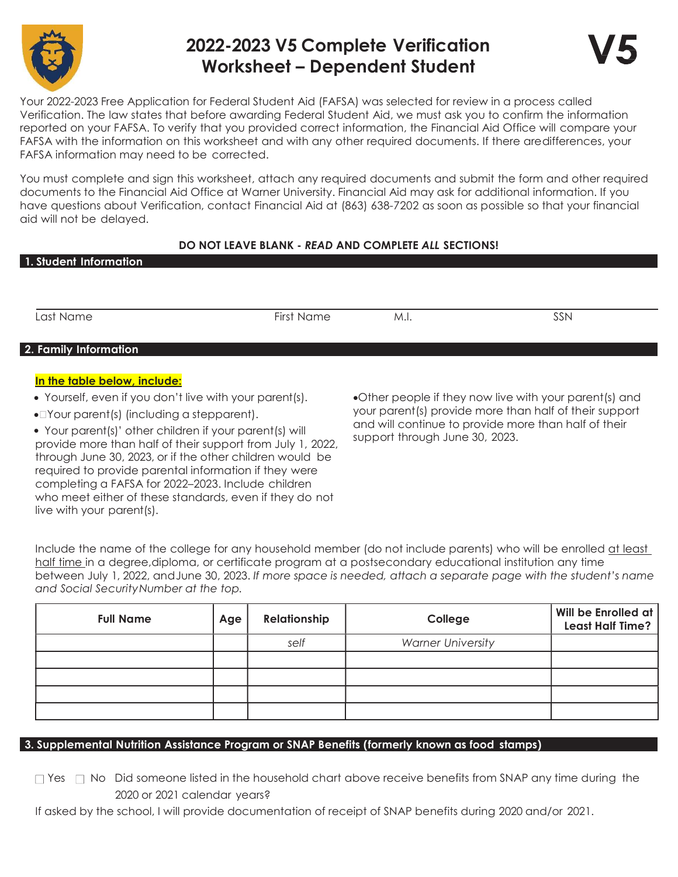

# 2022-2023 V5 Complete Verification Worksheet – Dependent Student



Your 2022-2023 Free Application for Federal Student Aid (FAFSA) was selected for review in a process called Verification. The law states that before awarding Federal Student Aid, we must ask you to confirm the information reported on your FAFSA. To verify that you provided correct information, the Financial Aid Office will compare your FAFSA with the information on this worksheet and with any other required documents. If there are differences, your FAFSA information may need to be corrected.

You must complete and sign this worksheet, attach any required documents and submit the form and other required documents to the Financial Aid Office at Warner University. Financial Aid may ask for additional information. If you have questions about Verification, contact Financial Aid at (863) 638-7202 as soon as possible so that your financial aid will not be delayed.

# DO NOT LEAVE BLANK - READ AND COMPLETE ALL SECTIONS!

Last Name First Name M.I. SSN

# 2. Family Information

## In the table below, include:

- Yourself, even if you don't live with your parent(s).
- Your parent(s) (including a stepparent).

 Your parent(s)' other children if your parent(s) will provide more than half of their support from July 1, 2022, through June 30, 2023, or if the other children would be required to provide parental information if they were completing a FAFSA for 2022–2023. Include children who meet either of these standards, even if they do not live with your parent(s).

Other people if they now live with your parent(s) and your parent(s) provide more than half of their support and will continue to provide more than half of their support through June 30, 2023.

Include the name of the college for any household member (do not include parents) who will be enrolled at least half time in a degree, diploma, or certificate program at a postsecondary educational institution any time between July 1, 2022, and June 30, 2023. If more space is needed, attach a separate page with the student's name and Social Security Number at the top.

| <b>Full Name</b> | Age | Relationship | College                  | Will be Enrolled at<br><b>Least Half Time?</b> |
|------------------|-----|--------------|--------------------------|------------------------------------------------|
|                  |     | self         | <b>Warner University</b> |                                                |
|                  |     |              |                          |                                                |
|                  |     |              |                          |                                                |
|                  |     |              |                          |                                                |
|                  |     |              |                          |                                                |

## 3. Supplemental Nutrition Assistance Program or SNAP Benefits (formerly known as food stamps)

| $\Box$ Yes $\Box$ No Did someone listed in the household chart above receive benefits from SNAP any time during the |
|---------------------------------------------------------------------------------------------------------------------|
| 2020 or 2021 calendar years?                                                                                        |

If asked by the school, I will provide documentation of receipt of SNAP benefits during 2020 and/or 2021.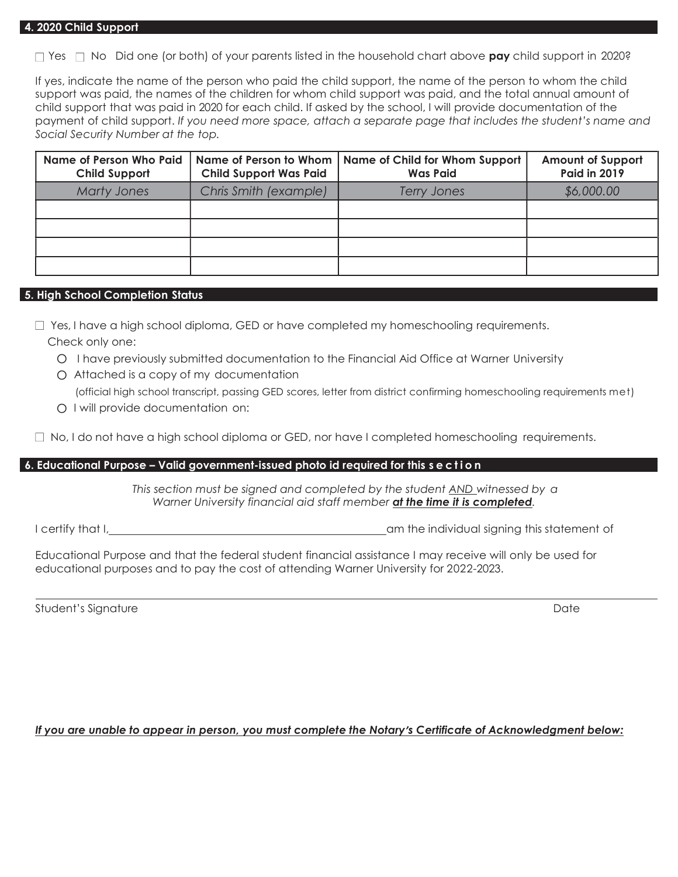$\Box$  Yes  $\Box$  No Did one (or both) of your parents listed in the household chart above **pay** child support in 2020?

If yes, indicate the name of the person who paid the child support, the name of the person to whom the child support was paid, the names of the children for whom child support was paid, and the total annual amount of child support that was paid in 2020 for each child. If asked by the school, I will provide documentation of the payment of child support. If you need more space, attach a separate page that includes the student's name and Social Security Number at the top.

| <b>Name of Person Who Paid</b><br><b>Child Support</b> | <b>Child Support Was Paid</b> | Name of Person to Whom   Name of Child for Whom Support<br><b>Was Paid</b> | <b>Amount of Support</b><br><b>Paid in 2019</b> |
|--------------------------------------------------------|-------------------------------|----------------------------------------------------------------------------|-------------------------------------------------|
| <b>Marty Jones</b>                                     | Chris Smith (example)         | <b>Terry Jones</b>                                                         | \$6,000.00                                      |
|                                                        |                               |                                                                            |                                                 |
|                                                        |                               |                                                                            |                                                 |
|                                                        |                               |                                                                            |                                                 |
|                                                        |                               |                                                                            |                                                 |

#### 5. High School Completion Status

 $\Box$  Yes, I have a high school diploma, GED or have completed my homeschooling requirements. Check only one:

- O I have previously submitted documentation to the Financial Aid Office at Warner University
- O Attached is a copy of my documentation

(official high school transcript, passing GED scores, letter from district confirming homeschooling requirements met)

O I will provide documentation on:

 $\Box$  No, I do not have a high school diploma or GED, nor have I completed homeschooling requirements.

#### 6. Educational Purpose – Valid government-issued photo id required for this s e c t i o n

This section must be signed and completed by the student AND witnessed by a Warner University financial aid staff member at the time it is completed.

I certify that I, and I certify that I, and I certify that I, am the individual signing this statement of

Educational Purpose and that the federal student financial assistance I may receive will only be used for educational purposes and to pay the cost of attending Warner University for 2022-2023.

Student's Signature **Date** 

#### If you are unable to appear in person, you must complete the Notary's Certificate of Acknowledgment below: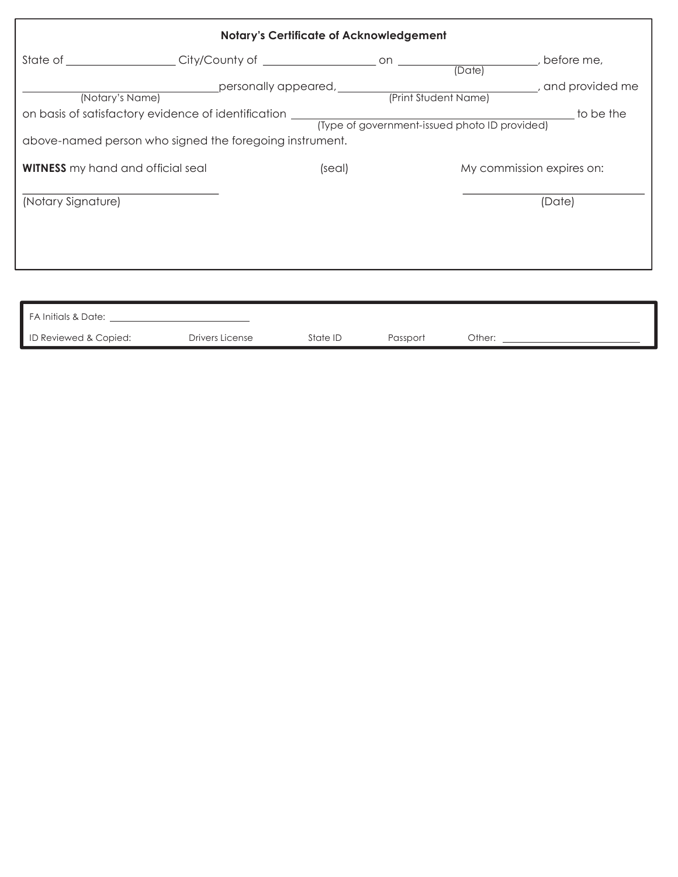| <b>Notary's Certificate of Acknowledgement</b> |                                                                                                                                                                                                                                |        |  |                           |  |
|------------------------------------------------|--------------------------------------------------------------------------------------------------------------------------------------------------------------------------------------------------------------------------------|--------|--|---------------------------|--|
|                                                | State of City/County of Communication City/County of Communication Contract on County of Contract On County of County of County of County of County of County of County of County of County of County of County of County of C |        |  |                           |  |
| (Notary's Name)                                |                                                                                                                                                                                                                                |        |  |                           |  |
|                                                |                                                                                                                                                                                                                                |        |  |                           |  |
|                                                | above-named person who signed the foregoing instrument.                                                                                                                                                                        |        |  |                           |  |
| <b>WITNESS</b> my hand and official seal       |                                                                                                                                                                                                                                | (seal) |  | My commission expires on: |  |
| (Notary Signature)                             |                                                                                                                                                                                                                                |        |  | (Date)                    |  |
|                                                |                                                                                                                                                                                                                                |        |  |                           |  |
|                                                |                                                                                                                                                                                                                                |        |  |                           |  |
|                                                |                                                                                                                                                                                                                                |        |  |                           |  |
|                                                |                                                                                                                                                                                                                                |        |  |                           |  |

| FA Initials & Date:   |                 |          |          |        |
|-----------------------|-----------------|----------|----------|--------|
| ID Reviewed & Copied: | Drivers License | State ID | Passport | Other: |